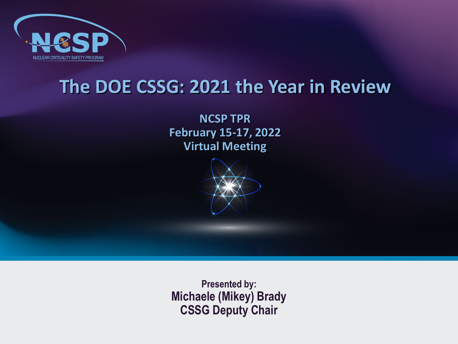

#### **The DOE CSSG: 2021 the Year in Review**

**NCSP TPR February 15-17, 2022 Virtual Meeting**



**Presented by: Michaele (Mikey) Brady CSSG Deputy Chair**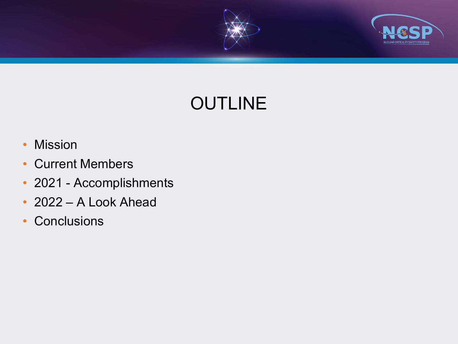



# **OUTLINE**

- Mission
- Current Members
- 2021 Accomplishments
- 2022 A Look Ahead
- Conclusions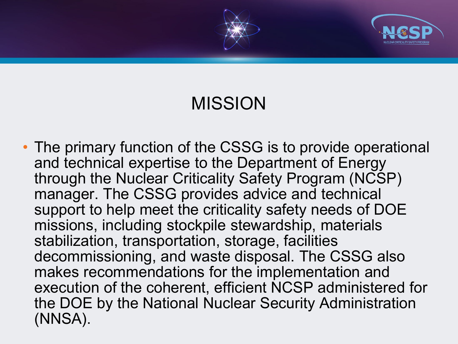



# MISSION

• The primary function of the CSSG is to provide operational and technical expertise to the Department of Energy through the Nuclear Criticality Safety Program (NCSP) manager. The CSSG provides advice and technical support to help meet the criticality safety needs of DOE missions, including stockpile stewardship, materials stabilization, transportation, storage, facilities decommissioning, and waste disposal. The CSSG also makes recommendations for the implementation and execution of the coherent, efficient NCSP administered for the DOE by the National Nuclear Security Administration (NNSA).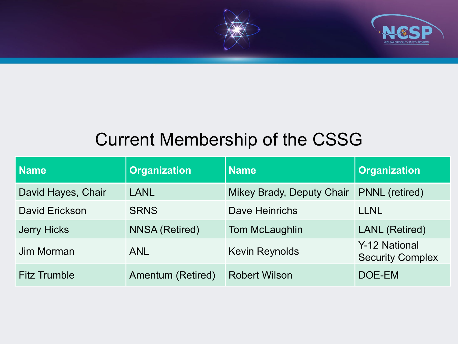



### Current Membership of the CSSG

| <b>Name</b>         | <b>Organization</b>   | <b>Name</b>               | <b>Organization</b>                      |
|---------------------|-----------------------|---------------------------|------------------------------------------|
| David Hayes, Chair  | <b>LANL</b>           | Mikey Brady, Deputy Chair | <b>PNNL</b> (retired)                    |
| David Erickson      | <b>SRNS</b>           | Dave Heinrichs            | <b>LLNL</b>                              |
| <b>Jerry Hicks</b>  | <b>NNSA (Retired)</b> | Tom McLaughlin            | <b>LANL</b> (Retired)                    |
| Jim Morman          | <b>ANL</b>            | <b>Kevin Reynolds</b>     | Y-12 National<br><b>Security Complex</b> |
| <b>Fitz Trumble</b> | Amentum (Retired)     | <b>Robert Wilson</b>      | DOE-EM                                   |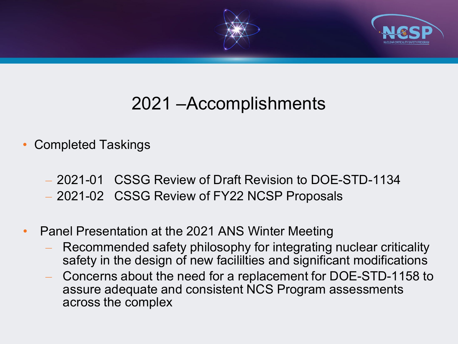

# 2021 –Accomplishments

- Completed Taskings
	- 2021-01 CSSG Review of Draft Revision to DOE-STD-1134
	- 2021-02 CSSG Review of FY22 NCSP Proposals
- Panel Presentation at the 2021 ANS Winter Meeting
	- Recommended safety philosophy for integrating nuclear criticality safety in the design of new facililties and significant modifications
	- Concerns about the need for a replacement for DOE-STD-1158 to assure adequate and consistent NCS Program assessments across the complex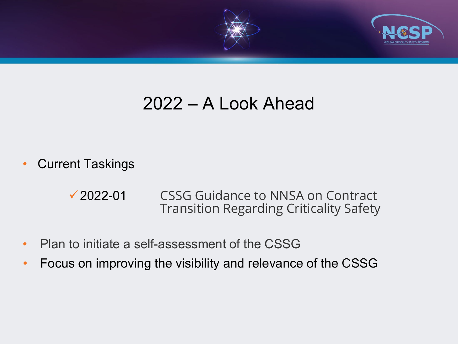

### 2022 – A Look Ahead

• Current Taskings

**<del>√</del> 2022-01** CSSG Guidance to NNSA on Contract Transition Regarding Criticality Safety

- Plan to initiate a self-assessment of the CSSG
- Focus on improving the visibility and relevance of the CSSG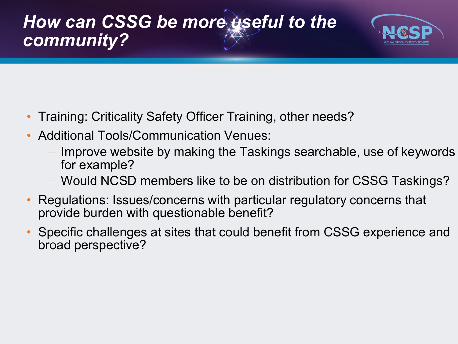



- Training: Criticality Safety Officer Training, other needs?
- Additional Tools/Communication Venues:
	- Improve website by making the Taskings searchable, use of keywords for example?
	- Would NCSD members like to be on distribution for CSSG Taskings?
- Regulations: Issues/concerns with particular regulatory concerns that provide burden with questionable benefit?
- Specific challenges at sites that could benefit from CSSG experience and broad perspective?